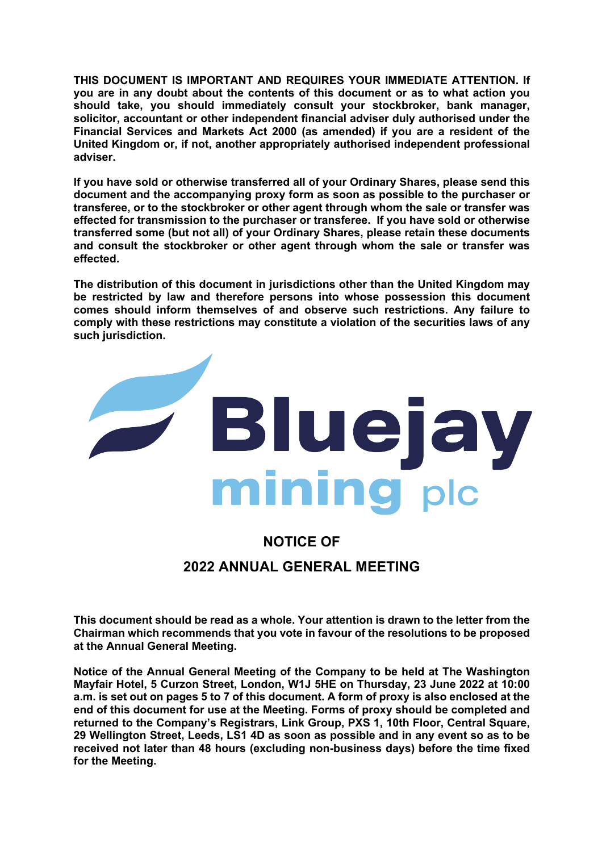**THIS DOCUMENT IS IMPORTANT AND REQUIRES YOUR IMMEDIATE ATTENTION. If you are in any doubt about the contents of this document or as to what action you should take, you should immediately consult your stockbroker, bank manager, solicitor, accountant or other independent financial adviser duly authorised under the Financial Services and Markets Act 2000 (as amended) if you are a resident of the United Kingdom or, if not, another appropriately authorised independent professional adviser.**

**If you have sold or otherwise transferred all of your Ordinary Shares, please send this document and the accompanying proxy form as soon as possible to the purchaser or transferee, or to the stockbroker or other agent through whom the sale or transfer was effected for transmission to the purchaser or transferee. If you have sold or otherwise transferred some (but not all) of your Ordinary Shares, please retain these documents and consult the stockbroker or other agent through whom the sale or transfer was effected.**

**The distribution of this document in jurisdictions other than the United Kingdom may be restricted by law and therefore persons into whose possession this document comes should inform themselves of and observe such restrictions. Any failure to comply with these restrictions may constitute a violation of the securities laws of any such jurisdiction.**



# **NOTICE OF 2022 ANNUAL GENERAL MEETING**

**This document should be read as a whole. Your attention is drawn to the letter from the Chairman which recommends that you vote in favour of the resolutions to be proposed at the Annual General Meeting.** 

**Notice of the Annual General Meeting of the Company to be held at The Washington Mayfair Hotel, 5 Curzon Street, London, W1J 5HE on Thursday, 23 June 2022 at 10:00 a.m. is set out on pages 5 to 7 of this document. A form of proxy is also enclosed at the end of this document for use at the Meeting. Forms of proxy should be completed and returned to the Company's Registrars, Link Group, PXS 1, 10th Floor, Central Square, 29 Wellington Street, Leeds, LS1 4D as soon as possible and in any event so as to be received not later than 48 hours (excluding non-business days) before the time fixed for the Meeting.**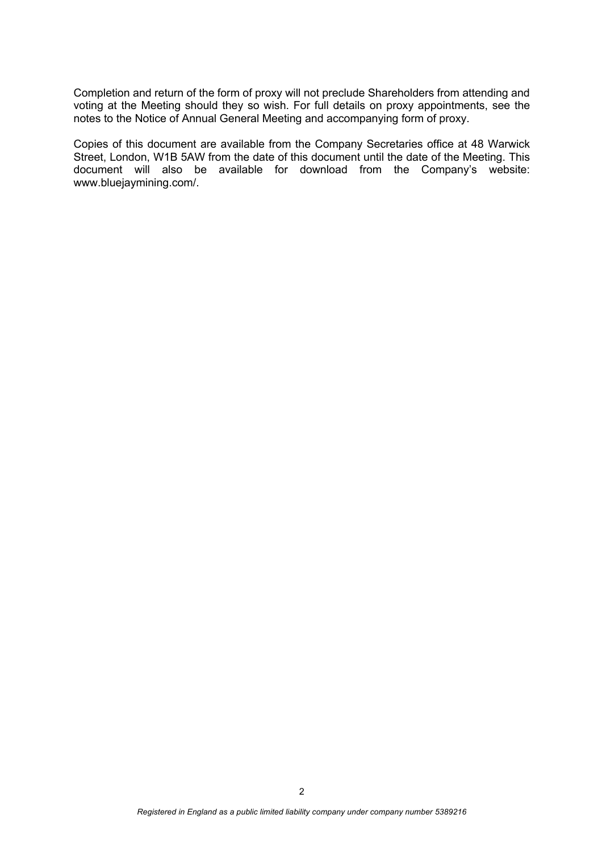Completion and return of the form of proxy will not preclude Shareholders from attending and voting at the Meeting should they so wish. For full details on proxy appointments, see the notes to the Notice of Annual General Meeting and accompanying form of proxy.

Copies of this document are available from the Company Secretaries office at 48 Warwick Street, London, W1B 5AW from the date of this document until the date of the Meeting. This document will also be available for download from the Company's website: www.bluejaymining.com/.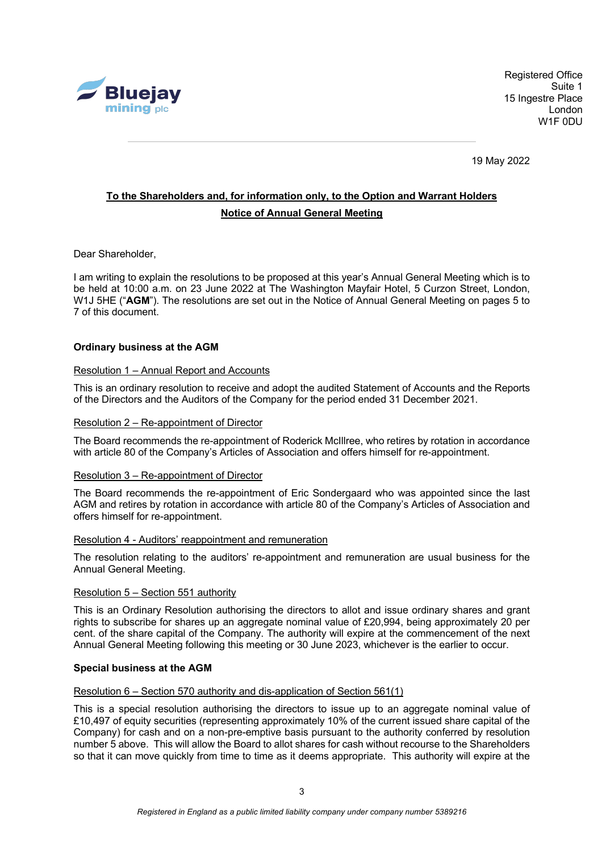

Registered Office Suite 1 15 Ingestre Place London W1F 0DU

19 May 2022

## **To the Shareholders and, for information only, to the Option and Warrant Holders Notice of Annual General Meeting**

Dear Shareholder,

I am writing to explain the resolutions to be proposed at this year's Annual General Meeting which is to be held at 10:00 a.m. on 23 June 2022 at The Washington Mayfair Hotel, 5 Curzon Street, London, W1J 5HE ("**AGM**"). The resolutions are set out in the Notice of Annual General Meeting on pages 5 to 7 of this document.

#### **Ordinary business at the AGM**

#### Resolution 1 – Annual Report and Accounts

This is an ordinary resolution to receive and adopt the audited Statement of Accounts and the Reports of the Directors and the Auditors of the Company for the period ended 31 December 2021.

#### Resolution 2 – Re-appointment of Director

The Board recommends the re-appointment of Roderick McIllree, who retires by rotation in accordance with article 80 of the Company's Articles of Association and offers himself for re-appointment.

#### Resolution 3 – Re-appointment of Director

The Board recommends the re-appointment of Eric Sondergaard who was appointed since the last AGM and retires by rotation in accordance with article 80 of the Company's Articles of Association and offers himself for re-appointment.

#### Resolution 4 - Auditors' reappointment and remuneration

The resolution relating to the auditors' re-appointment and remuneration are usual business for the Annual General Meeting.

#### Resolution 5 – Section 551 authority

This is an Ordinary Resolution authorising the directors to allot and issue ordinary shares and grant rights to subscribe for shares up an aggregate nominal value of £20,994, being approximately 20 per cent. of the share capital of the Company. The authority will expire at the commencement of the next Annual General Meeting following this meeting or 30 June 2023, whichever is the earlier to occur.

#### **Special business at the AGM**

#### Resolution 6 – Section 570 authority and dis-application of Section 561(1)

This is a special resolution authorising the directors to issue up to an aggregate nominal value of £10,497 of equity securities (representing approximately 10% of the current issued share capital of the Company) for cash and on a non-pre-emptive basis pursuant to the authority conferred by resolution number 5 above. This will allow the Board to allot shares for cash without recourse to the Shareholders so that it can move quickly from time to time as it deems appropriate. This authority will expire at the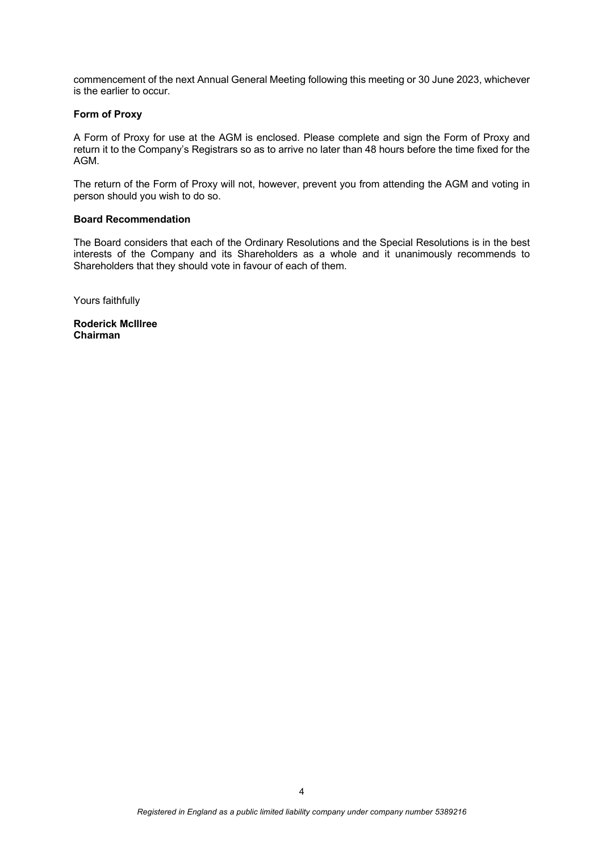commencement of the next Annual General Meeting following this meeting or 30 June 2023, whichever is the earlier to occur.

#### **Form of Proxy**

A Form of Proxy for use at the AGM is enclosed. Please complete and sign the Form of Proxy and return it to the Company's Registrars so as to arrive no later than 48 hours before the time fixed for the AGM.

The return of the Form of Proxy will not, however, prevent you from attending the AGM and voting in person should you wish to do so.

#### **Board Recommendation**

The Board considers that each of the Ordinary Resolutions and the Special Resolutions is in the best interests of the Company and its Shareholders as a whole and it unanimously recommends to Shareholders that they should vote in favour of each of them.

Yours faithfully

**Roderick McIllree Chairman**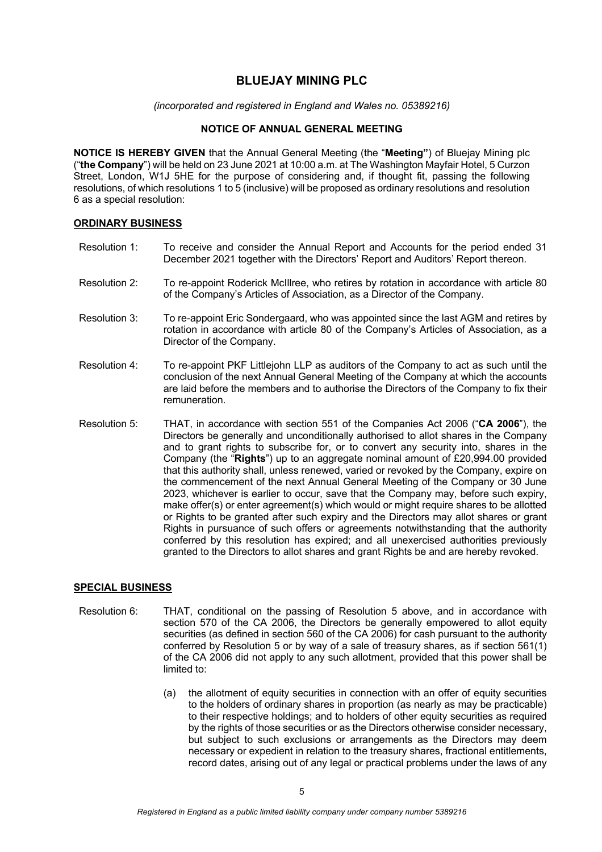### **BLUEJAY MINING PLC**

*(incorporated and registered in England and Wales no. 05389216)*

#### **NOTICE OF ANNUAL GENERAL MEETING**

**NOTICE IS HEREBY GIVEN** that the Annual General Meeting (the "**Meeting"**) of Bluejay Mining plc ("**the Company**") will be held on 23 June 2021 at 10:00 a.m. at The Washington Mayfair Hotel, 5 Curzon Street, London, W1J 5HE for the purpose of considering and, if thought fit, passing the following resolutions, of which resolutions 1 to 5 (inclusive) will be proposed as ordinary resolutions and resolution 6 as a special resolution:

#### **ORDINARY BUSINESS**

- Resolution 1: To receive and consider the Annual Report and Accounts for the period ended 31 December 2021 together with the Directors' Report and Auditors' Report thereon.
- Resolution 2: To re-appoint Roderick McIllree, who retires by rotation in accordance with article 80 of the Company's Articles of Association, as a Director of the Company.
- Resolution 3: To re-appoint Eric Sondergaard, who was appointed since the last AGM and retires by rotation in accordance with article 80 of the Company's Articles of Association, as a Director of the Company.
- Resolution 4: To re-appoint PKF Littlejohn LLP as auditors of the Company to act as such until the conclusion of the next Annual General Meeting of the Company at which the accounts are laid before the members and to authorise the Directors of the Company to fix their remuneration.
- Resolution 5: THAT, in accordance with section 551 of the Companies Act 2006 ("**CA 2006**"), the Directors be generally and unconditionally authorised to allot shares in the Company and to grant rights to subscribe for, or to convert any security into, shares in the Company (the "**Rights**") up to an aggregate nominal amount of £20,994.00 provided that this authority shall, unless renewed, varied or revoked by the Company, expire on the commencement of the next Annual General Meeting of the Company or 30 June 2023, whichever is earlier to occur, save that the Company may, before such expiry, make offer(s) or enter agreement(s) which would or might require shares to be allotted or Rights to be granted after such expiry and the Directors may allot shares or grant Rights in pursuance of such offers or agreements notwithstanding that the authority conferred by this resolution has expired; and all unexercised authorities previously granted to the Directors to allot shares and grant Rights be and are hereby revoked.

#### **SPECIAL BUSINESS**

- Resolution 6: THAT, conditional on the passing of Resolution 5 above, and in accordance with section 570 of the CA 2006, the Directors be generally empowered to allot equity securities (as defined in section 560 of the CA 2006) for cash pursuant to the authority conferred by Resolution 5 or by way of a sale of treasury shares, as if section 561(1) of the CA 2006 did not apply to any such allotment, provided that this power shall be limited to:
	- (a) the allotment of equity securities in connection with an offer of equity securities to the holders of ordinary shares in proportion (as nearly as may be practicable) to their respective holdings; and to holders of other equity securities as required by the rights of those securities or as the Directors otherwise consider necessary, but subject to such exclusions or arrangements as the Directors may deem necessary or expedient in relation to the treasury shares, fractional entitlements, record dates, arising out of any legal or practical problems under the laws of any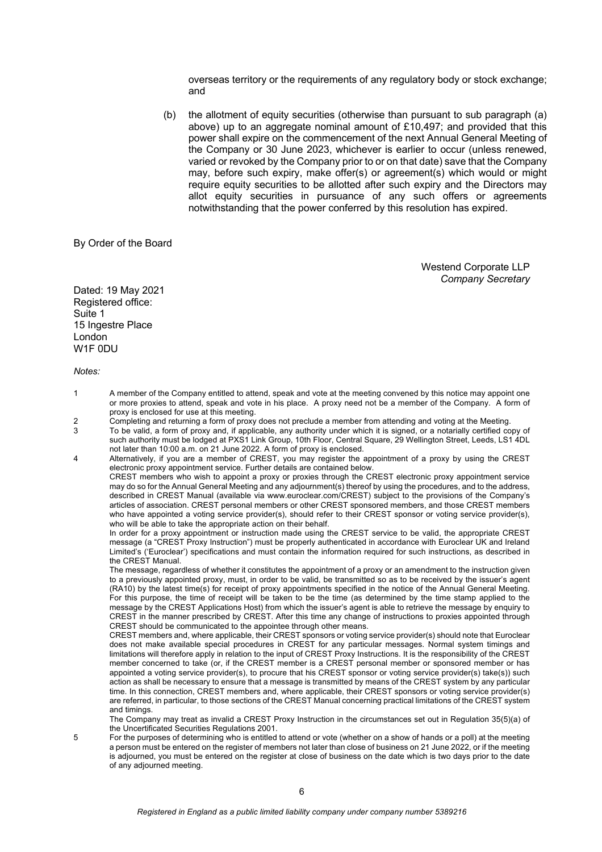overseas territory or the requirements of any regulatory body or stock exchange; and

(b) the allotment of equity securities (otherwise than pursuant to sub paragraph (a) above) up to an aggregate nominal amount of £10,497; and provided that this power shall expire on the commencement of the next Annual General Meeting of the Company or 30 June 2023, whichever is earlier to occur (unless renewed, varied or revoked by the Company prior to or on that date) save that the Company may, before such expiry, make offer(s) or agreement(s) which would or might require equity securities to be allotted after such expiry and the Directors may allot equity securities in pursuance of any such offers or agreements notwithstanding that the power conferred by this resolution has expired.

By Order of the Board

Westend Corporate LLP *Company Secretary* 

Dated: 19 May 2021 Registered office: Suite 1 15 Ingestre Place London W1F 0DU

*Notes:* 

- 1 A member of the Company entitled to attend, speak and vote at the meeting convened by this notice may appoint one or more proxies to attend, speak and vote in his place. A proxy need not be a member of the Company. A form of proxy is enclosed for use at this meeting.
- 2 Completing and returning a form of proxy does not preclude a member from attending and voting at the Meeting.
- 3 To be valid, a form of proxy and, if applicable, any authority under which it is signed, or a notarially certified copy of such authority must be lodged at PXS1 Link Group, 10th Floor, Central Square, 29 Wellington Street, Leeds, LS1 4DL not later than 10:00 a.m. on 21 June 2022. A form of proxy is enclosed.
- 4 Alternatively, if you are a member of CREST, you may register the appointment of a proxy by using the CREST electronic proxy appointment service. Further details are contained below.

CREST members who wish to appoint a proxy or proxies through the CREST electronic proxy appointment service may do so for the Annual General Meeting and any adjournment(s) thereof by using the procedures, and to the address, described in CREST Manual (available via www.euroclear.com/CREST) subject to the provisions of the Company's articles of association. CREST personal members or other CREST sponsored members, and those CREST members who have appointed a voting service provider(s), should refer to their CREST sponsor or voting service provider(s), who will be able to take the appropriate action on their behalf.

In order for a proxy appointment or instruction made using the CREST service to be valid, the appropriate CREST message (a "CREST Proxy Instruction") must be properly authenticated in accordance with Euroclear UK and Ireland Limited's ('Euroclear') specifications and must contain the information required for such instructions, as described in the CREST Manual.

The message, regardless of whether it constitutes the appointment of a proxy or an amendment to the instruction given to a previously appointed proxy, must, in order to be valid, be transmitted so as to be received by the issuer's agent (RA10) by the latest time(s) for receipt of proxy appointments specified in the notice of the Annual General Meeting. For this purpose, the time of receipt will be taken to be the time (as determined by the time stamp applied to the message by the CREST Applications Host) from which the issuer's agent is able to retrieve the message by enquiry to CREST in the manner prescribed by CREST. After this time any change of instructions to proxies appointed through CREST should be communicated to the appointee through other means.

CREST members and, where applicable, their CREST sponsors or voting service provider(s) should note that Euroclear does not make available special procedures in CREST for any particular messages. Normal system timings and limitations will therefore apply in relation to the input of CREST Proxy Instructions. It is the responsibility of the CREST member concerned to take (or, if the CREST member is a CREST personal member or sponsored member or has appointed a voting service provider(s), to procure that his CREST sponsor or voting service provider(s) take(s)) such action as shall be necessary to ensure that a message is transmitted by means of the CREST system by any particular time. In this connection, CREST members and, where applicable, their CREST sponsors or voting service provider(s) are referred, in particular, to those sections of the CREST Manual concerning practical limitations of the CREST system and timings.

The Company may treat as invalid a CREST Proxy Instruction in the circumstances set out in Regulation 35(5)(a) of the Uncertificated Securities Regulations 2001.

5 For the purposes of determining who is entitled to attend or vote (whether on a show of hands or a poll) at the meeting a person must be entered on the register of members not later than close of business on 21 June 2022, or if the meeting is adjourned, you must be entered on the register at close of business on the date which is two days prior to the date of any adjourned meeting.